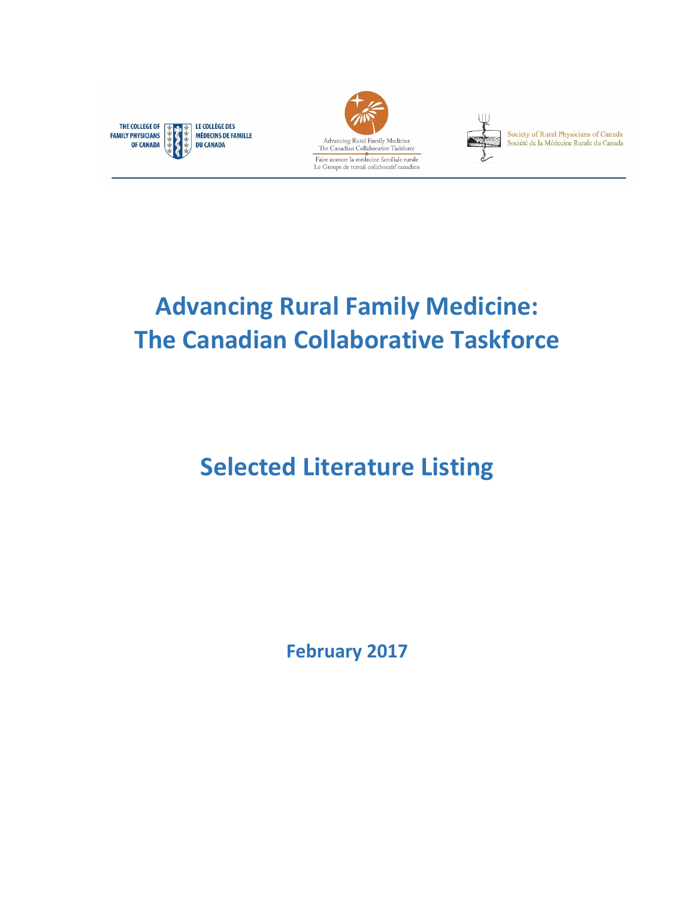





Society of Rural Physicians of Canada<br>Société de la Médecine Rurale du Canada

# **Advancing Rural Family Medicine: The Canadian Collaborative Taskforce**

# **Selected Literature Listing**

**February 2017**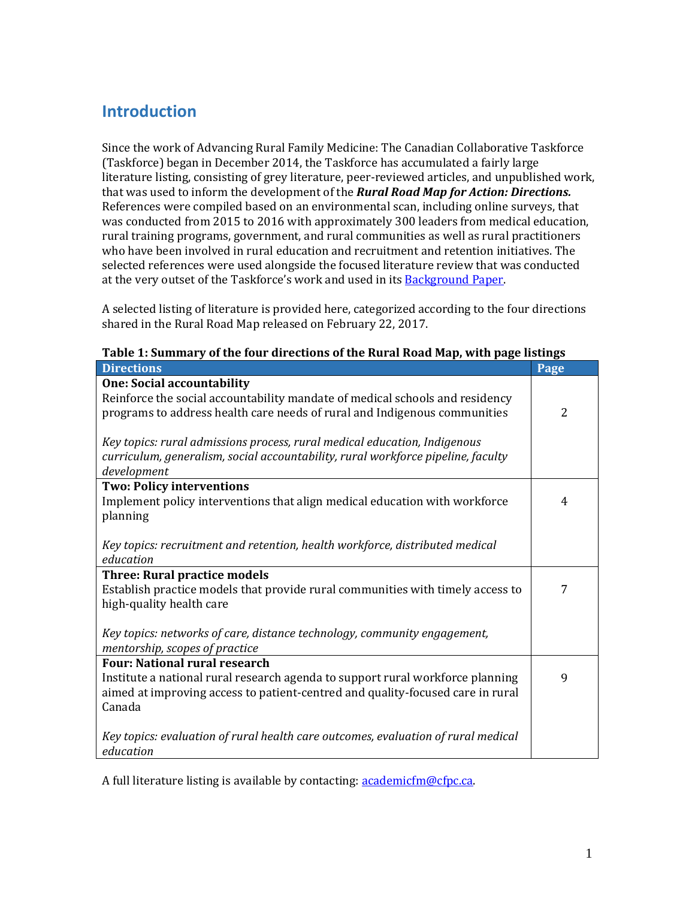## **Introduction**

 that was used to inform the development of the *Rural Road Map for Action: Directions.* was conducted from 2015 to 2016 with approximately 300 leaders from medical education, Since the work of Advancing Rural Family Medicine: The Canadian Collaborative Taskforce (Taskforce) began in December 2014, the Taskforce has accumulated a fairly large literature listing, consisting of grey literature, peer-reviewed articles, and unpublished work, References were compiled based on an environmental scan, including online surveys, that rural training programs, government, and rural communities as well as rural practitioners who have been involved in rural education and recruitment and retention initiatives. The selected references were used alongside the focused literature review that was conducted at the very outset of the Taskforce's work and used in its **Background Paper**.

A selected listing of literature is provided here, categorized according to the four directions shared in the Rural Road Map released on February 22, 2017.

| Table 1. Summary of the four un ections of the Kural Koau Map, with page iistings |                |
|-----------------------------------------------------------------------------------|----------------|
| <b>Directions</b>                                                                 | Page           |
| <b>One: Social accountability</b>                                                 |                |
| Reinforce the social accountability mandate of medical schools and residency      |                |
| programs to address health care needs of rural and Indigenous communities         | $\overline{2}$ |
|                                                                                   |                |
| Key topics: rural admissions process, rural medical education, Indigenous         |                |
| curriculum, generalism, social accountability, rural workforce pipeline, faculty  |                |
| development                                                                       |                |
| <b>Two: Policy interventions</b>                                                  |                |
| Implement policy interventions that align medical education with workforce        | 4              |
| planning                                                                          |                |
|                                                                                   |                |
| Key topics: recruitment and retention, health workforce, distributed medical      |                |
| education                                                                         |                |
| <b>Three: Rural practice models</b>                                               |                |
| Establish practice models that provide rural communities with timely access to    | 7              |
| high-quality health care                                                          |                |
|                                                                                   |                |
| Key topics: networks of care, distance technology, community engagement,          |                |
| mentorship, scopes of practice                                                    |                |
| <b>Four: National rural research</b>                                              |                |
| Institute a national rural research agenda to support rural workforce planning    | 9              |
| aimed at improving access to patient-centred and quality-focused care in rural    |                |
| Canada                                                                            |                |
|                                                                                   |                |
| Key topics: evaluation of rural health care outcomes, evaluation of rural medical |                |
| education                                                                         |                |
|                                                                                   |                |

Table 1: Summary of the four directions of the Rural Road Map, with page listings

A full literature listing is available by contacting: **academicfm@cfpc.ca**.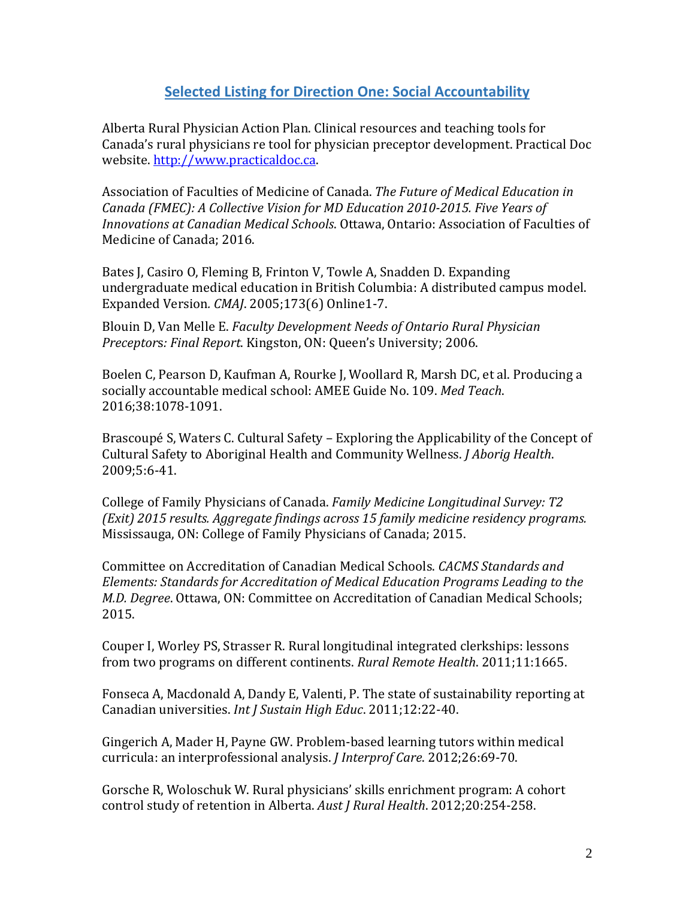#### **Selected Listing for Direction One: Social Accountability**

Alberta Rural Physician Action Plan. Clinical resources and teaching tools for Canada's rural physicians re tool for physician preceptor development. Practical Doc website. http://www.practicaldoc.ca.

 Association of Faculties of Medicine of Canada. *The Future of Medical Education in Canada (FMEC): A Collective Vision for MD Education 2010‐2015. Five Years of Innovations at Canadian Medical Schools*. Ottawa, Ontario: Association of Faculties of Medicine of Canada: 2016.

Bates J, Casiro O, Fleming B, Frinton V, Towle A, Snadden D. Expanding undergraduate medical education in British Columbia: A distributed campus model. Expanded Version*. CMAJ*. 2005;173(6) Online1‐7. 

 Blouin D, Van Melle E. *Faculty Development Needs of Ontario Rural Physician Preceptor*s*: Final Report*. Kingston, ON: Queen's University; 2006.

Boelen C, Pearson D, Kaufman A, Rourke J, Woollard R, Marsh DC, et al. Producing a socially accountable medical school: AMEE Guide No. 109. Med Teach. 2016;38:1078‐1091. 

 Cultural Safety to Aboriginal Health and Community Wellness. *J Aborig Health*. Brascoupé S, Waters C. Cultural Safety – Exploring the Applicability of the Concept of 2009;5:6‐41. 

 College of Family Physicians of Canada. *Family Medicine Longitudinal Survey: T2 (Exit) 2015 results. Aggregate findings across 15 family medicine residency programs.* Mississauga, ON: College of Family Physicians of Canada; 2015.

 Committee on Accreditation of Canadian Medical Schools. *CACMS Standards and Elements: Standards for Accreditation of Medical Education Programs Leading to the M.D. Degree*. Ottawa, ON: Committee on Accreditation of Canadian Medical Schools; 2015.

from two programs on different continents. *Rural Remote Health.* 2011;11:1665. Couper I, Worley PS, Strasser R. Rural longitudinal integrated clerkships: lessons

 Canadian universities. *Int J Sustain High Educ*. 2011;12:22‐40. Fonseca A, Macdonald A, Dandy E, Valenti, P. The state of sustainability reporting at

 curricula: an interprofessional analysis. *J Interprof Care*. 2012;26:69‐70. Gingerich A, Mader H, Payne GW. Problem-based learning tutors within medical

 control study of retention in Alberta. *Aust J Rural Health*. 2012;20:254‐258. Gorsche R, Woloschuk W. Rural physicians' skills enrichment program: A cohort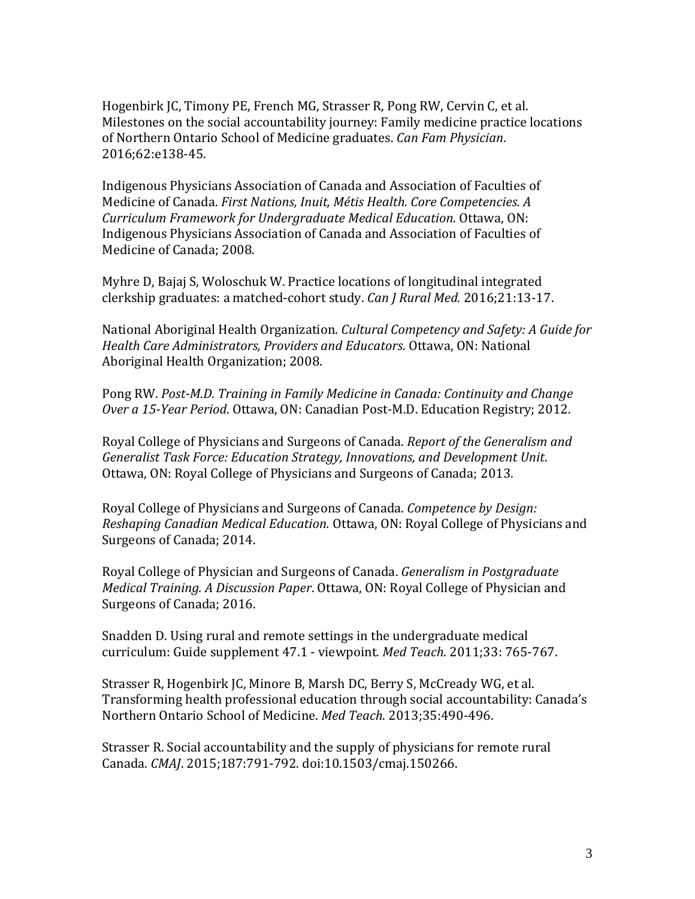Hogenbirk JC, Timony PE, French MG, Strasser R, Pong RW, Cervin C, et al.  of Northern Ontario School of Medicine graduates. *Can Fam Physician*. Milestones on the social accountability journey: Family medicine practice locations 2016;62:e138‐45.

 Medicine of Canada. *First Nations, Inuit, Métis Health. Core Competencies. A Curriculum Framework for Undergraduate Medical Education*. Ottawa, ON: Indigenous Physicians Association of Canada and Association of Faculties of Indigenous Physicians Association of Canada and Association of Faculties of Medicine of Canada; 2008.

  clerkship graduates: a matched‐cohort study. *Can J Rural Med.* 2016;21:13‐17. Myhre D, Bajaj S, Woloschuk W. Practice locations of longitudinal integrated

 National Aboriginal Health Organization. *Cultural Competency and Safety: A Guide for Health Care Administrators, Providers and Educators*. Ottawa, ON: National Aboriginal Health Organization; 2008.

 Pong RW. *Post‐M.D. Training in Family Medicine in Canada: Continuity and Change Over a 15-Year Period*. Ottawa, ON: Canadian Post-M.D. Education Registry; 2012.

 Royal College of Physicians and Surgeons of Canada. *Report of the Generalism and Generalist Task Force: Education Strategy, Innovations, and Development Unit*. Ottawa, ON: Royal College of Physicians and Surgeons of Canada; 2013.

Royal College of Physicians and Surgeons of Canada. Competence by Design:  *Reshaping Canadian Medical Education.* Ottawa, ON: Royal College of Physicians and Surgeons of Canada; 2014.

 Royal College of Physician and Surgeons of Canada. *Generalism in Postgraduate Medical Training. A Discussion Paper*. Ottawa, ON: Royal College of Physician and Surgeons of Canada; 2016.

 curriculum: Guide supplement 47.1 ‐ viewpoint*. Med Teach*. 2011;33: 765‐767. Snadden D. Using rural and remote settings in the undergraduate medical

Strasser R, Hogenbirk JC, Minore B, Marsh DC, Berry S, McCready WG, et al. Transforming health professional education through social accountability: Canada's Northern Ontario School of Medicine. Med Teach. 2013;35:490-496.

Strasser R. Social accountability and the supply of physicians for remote rural Canada. *CMAJ*. 2015;187:791‐792. doi:10.1503/cmaj.150266.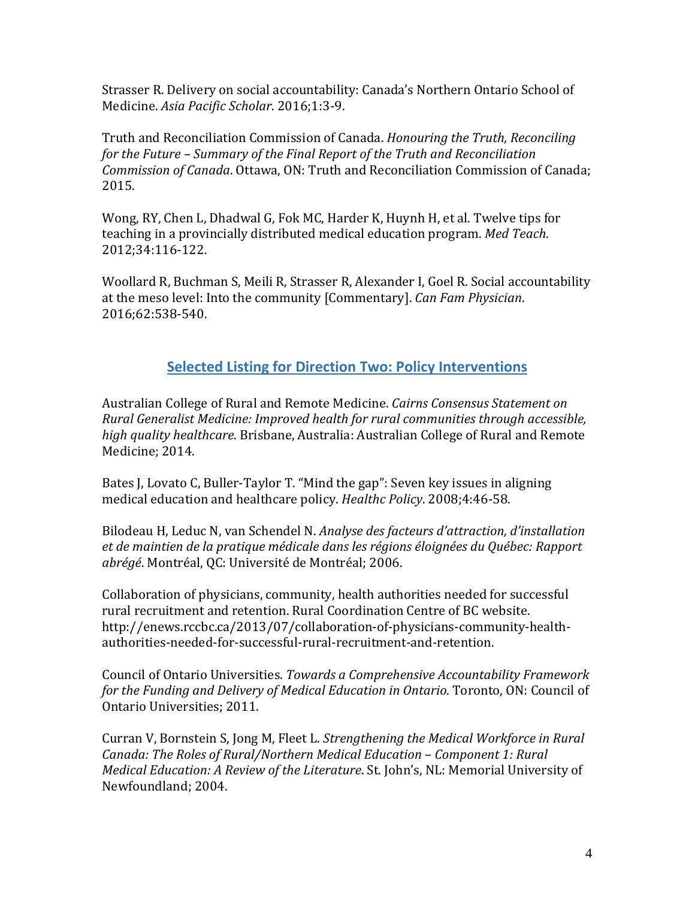Medicine. *Asia Pacific Scholar*. 2016;1:3‐9. Strasser R. Delivery on social accountability: Canada's Northern Ontario School of

 Truth and Reconciliation Commission of Canada. *Honouring the Truth, Reconciling for the Future – Summary of the Final Report of the Truth and Reconciliation Commission of Canada*. Ottawa, ON: Truth and Reconciliation Commission of Canada; 2015.

Wong, RY, Chen L, Dhadwal G, Fok MC, Harder K, Huynh H, et al. Twelve tips for teaching in a provincially distributed medical education program. Med Teach. 2012;34:116‐122.

at the meso level: Into the community [Commentary]. *Can Fam Physician*. Woollard R, Buchman S, Meili R, Strasser R, Alexander I, Goel R. Social accountability 2016;62:538‐540.

### **Selected Listing for Direction Two: Policy Interventions**

 Australian College of Rural and Remote Medicine. *Cairns Consensus Statement on Rural Generalist Medicine: Improved health for rural communities through accessible,* high quality healthcare. Brisbane, Australia: Australian College of Rural and Remote Medicine: 2014.

Bates J, Lovato C, Buller-Taylor T. "Mind the gap": Seven key issues in aligning medical education and healthcare policy. *Healthc Policy*. 2008;4:46-58.

 Bilodeau H, Leduc N, van Schendel N. *Analyse des facteurs d'attraction, d'installation et de maintien de la pratique médicale dans les régions éloignées du Québec: Rapport abrégé*. Montréal, QC: Université de Montréal; 2006.

Collaboration of physicians, community, health authorities needed for successful rural recruitment and retention. Rural Coordination Centre of BC website. [http://enews.rccbc.ca/2013/07/collaboration‐of‐physicians‐community‐health](http://enews.rccbc.ca/2013/07/collaboration-of-physicians-community-health)‐ authorities‐needed‐for‐successful‐rural‐recruitment‐and‐retention. 

 Council of Ontario Universities. *Towards a Comprehensive Accountability Framework for the Funding and Delivery of Medical Education in Ontario*. Toronto, ON: Council of Ontario Universities; 2011.

 Curran V, Bornstein S, Jong M, Fleet L. *Strengthening the Medical Workforce in Rural Canada: The Roles of Rural/Northern Medical Education* – *Component 1: Rural Medical Education: A Review of the Literature.* St. John's, NL: Memorial University of Newfoundland; 2004.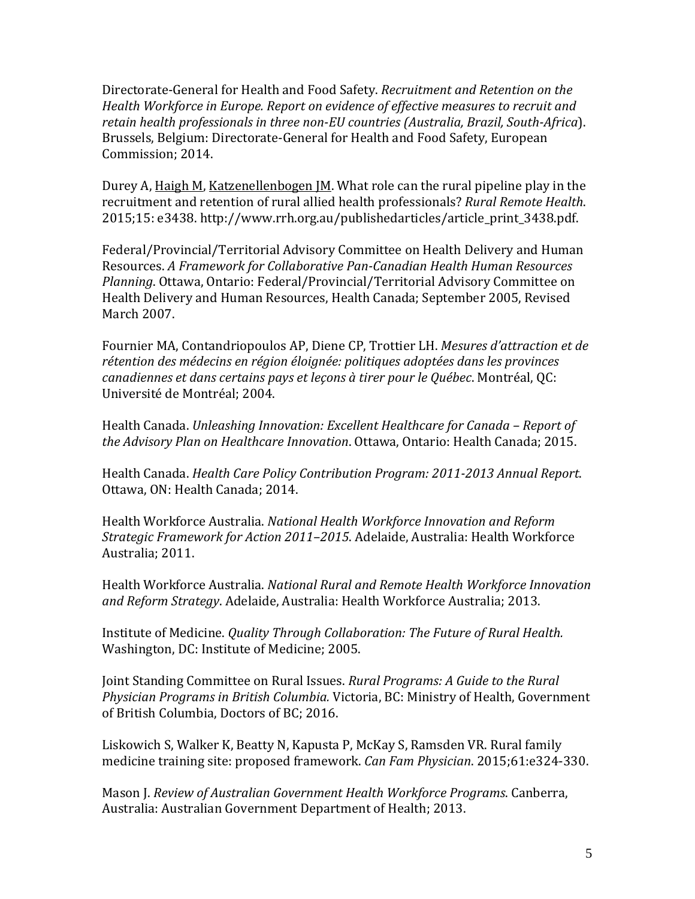Directorate‐General for Health and Food Safety. *Recruitment and Retention on the Health Workforce in Europe. Report on evidence of effective measures to recruit and retain health professionals in three non‐EU countries (Australia, Brazil, South‐Africa*). Brussels, Belgium: Directorate-General for Health and Food Safety, European Commission; 2014.

 recruitment and retention of rural allied health professionals? *Rural Remote Health*. Durey A, Haigh M, Katzenellenbogen JM. What role can the rural pipeline play in the 2015;15: e3438. http://www.rrh.org.au/publishedarticles/article\_print\_3438.pdf.

 Resources. *A Framework for Collaborative Pan‐Canadian Health Human Resources* Federal/Provincial/Territorial Advisory Committee on Health Delivery and Human *Planning*. Ottawa, Ontario: Federal/Provincial/Territorial Advisory Committee on Health Delivery and Human Resources, Health Canada; September 2005, Revised March 2007.

 Fournier MA, Contandriopoulos AP, Diene CP, Trottier LH. *Mesures d'attraction et de rétention des médecins en région éloignée: politiques adoptées dans les provinces canadiennes et dans certains pays et leçons à tirer pour le Québec*. Montréal, QC: Université de Montréal; 2004.

 Health Canada. *Unleashing Innovation: Excellent Healthcare for Canada – Report of the Advisory Plan on Healthcare Innovation*. Ottawa, Ontario: Health Canada; 2015. 

 Health Canada. *Health Care Policy Contribution Program: 2011‐2013 Annual Report*. Ottawa, ON: Health Canada; 2014.

 Health Workforce Australia. *National Health Workforce Innovation and Reform Strategic Framework for Action 2011–2015*. Adelaide, Australia: Health Workforce Australia; 2011.

 Health Workforce Australia. *National Rural and Remote Health Workforce Innovation and Reform Strategy*. Adelaide, Australia: Health Workforce Australia; 2013.

 Institute of Medicine. *Quality Through Collaboration: The Future of Rural Health.* Washington, DC: Institute of Medicine; 2005.

 Joint Standing Committee on Rural Issues. *Rural Programs: A Guide to the Rural Physician Programs in British Columbia.* Victoria, BC: Ministry of Health, Government of British Columbia, Doctors of BC; 2016.

 medicine training site: proposed framework. *Can Fam Physician*. 2015;61:e324‐330. Liskowich S, Walker K, Beatty N, Kapusta P, McKay S, Ramsden VR. Rural family

 Mason J. *Review of Australian Government Health Workforce Programs*. Canberra, Australia: Australian Government Department of Health; 2013.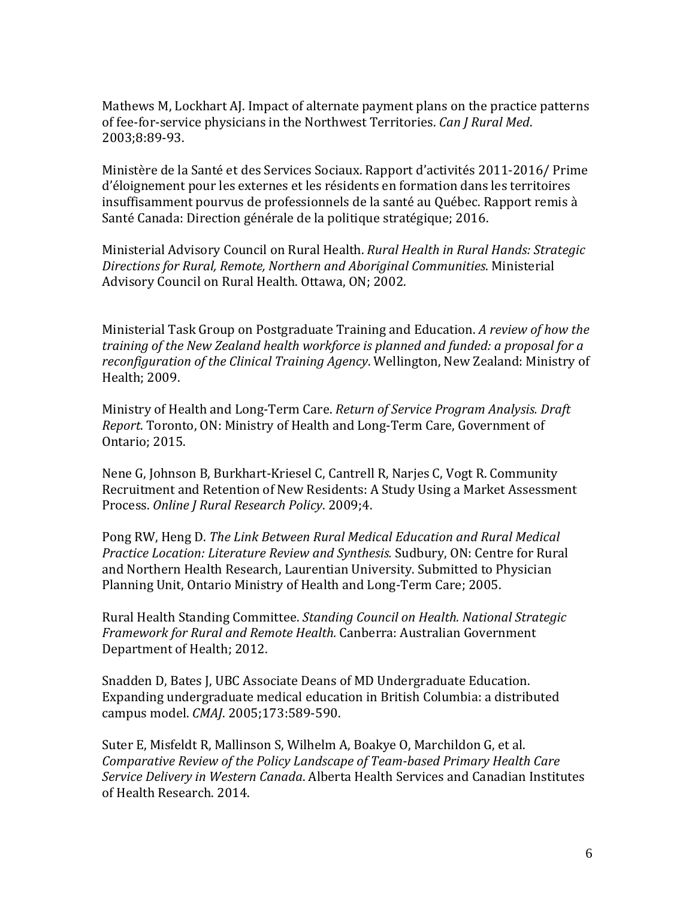of fee‐for‐service physicians in the Northwest Territories. *Can J Rural Med*. Mathews M, Lockhart AJ. Impact of alternate payment plans on the practice patterns 2003;8:89‐93.

Ministère de la Santé et des Services Sociaux. Rapport d'activités 2011-2016/ Prime d'éloignement pour les externes et les résidents en formation dans les territoires insuffisamment pourvus de professionnels de la santé au Québec. Rapport remis à Santé Canada: Direction générale de la politique stratégique; 2016.

 Ministerial Advisory Council on Rural Health. *Rural Health in Rural Hands: Strategic Directions for Rural, Remote, Northern and Aboriginal Communities*. Ministerial Advisory Council on Rural Health. Ottawa, ON; 2002.

 Ministerial Task Group on Postgraduate Training and Education. *A review of how the* training of the New Zealand health workforce is planned and funded: a proposal for a  *reconfiguration of the Clinical Training Agency*. Wellington, New Zealand: Ministry of Health; 2009.

 Ministry of Health and Long‐Term Care. *Return of Service Program Analysis. Draft Report*. Toronto, ON: Ministry of Health and Long-Term Care, Government of Ontario; 2015.

 Process. *Online J Rural Research Policy*. 2009;4. Nene G, Johnson B, Burkhart-Kriesel C, Cantrell R, Narjes C, Vogt R. Community Recruitment and Retention of New Residents: A Study Using a Market Assessment

 Pong RW, Heng D. *The Link Between Rural Medical Education and Rural Medical Practice Location: Literature Review and Synthesis. Sudbury, ON: Centre for Rural* and Northern Health Research, Laurentian University, Submitted to Physician Planning Unit, Ontario Ministry of Health and Long-Term Care; 2005.

 Rural Health Standing Committee. *Standing Council on Health. National Strategic Framework for Rural and Remote Health.* Canberra: Australian Government Department of Health; 2012.

Snadden D, Bates J, UBC Associate Deans of MD Undergraduate Education. Expanding undergraduate medical education in British Columbia: a distributed campus model. *CMAJ*. 2005;173:589‐590.

 *Comparative Review of the Policy Landscape of Team‐based Primary Health Care Service Delivery in Western Canada*. Alberta Health Services and Canadian Institutes Suter E, Misfeldt R, Mallinson S, Wilhelm A, Boakye O, Marchildon G, et al. of Health Research. 2014.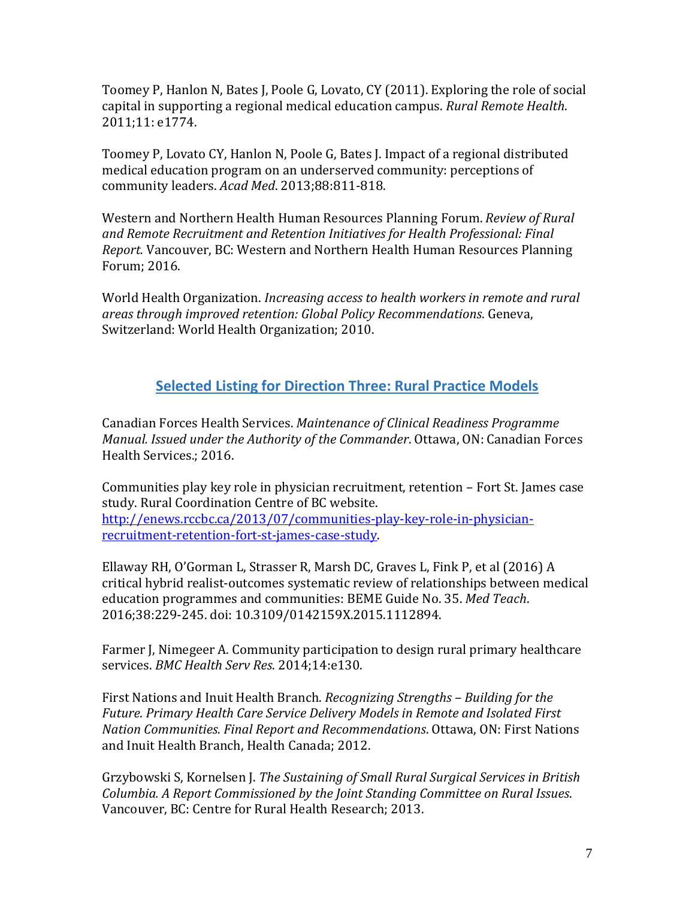capital in supporting a regional medical education campus. *Rural Remote Health*. Toomey P, Hanlon N, Bates J, Poole G, Lovato, CY (2011). Exploring the role of social 2011;11: e1774.

Toomey P, Lovato CY, Hanlon N, Poole G, Bates J. Impact of a regional distributed medical education program on an underserved community: perceptions of community leaders. *Acad Med*. 2013;88:811‐818.

Western and Northern Health Human Resources Planning Forum. Review of Rural  *and Remote Recruitment and Retention Initiatives for Health Professional: Final Report.* Vancouver, BC: Western and Northern Health Human Resources Planning Forum; 2016. 

 World Health Organization. *Increasing access to health workers in remote and rural areas through improved retention: Global Policy Recommendations*. Geneva, Switzerland: World Health Organization; 2010.

## **Selected Listing for Direction Three: Rural Practice Models**

 Canadian Forces Health Services. *Maintenance of Clinical Readiness Programme Manual. Issued under the Authority of the Commander.* Ottawa, ON: Canadian Forces Health Services.; 2016.

Communities play key role in physician recruitment, retention - Fort St. James case study. Rural Coordination Centre of BC website. http://enews.rccbc.ca/2013/07/communities-play-key-role-in-physicianrecruitment‐retention‐fort‐st‐james‐case‐study. 

Ellaway RH, O'Gorman L, Strasser R, Marsh DC, Graves L, Fink P, et al (2016) A critical hybrid realist-outcomes systematic review of relationships between medical education programmes and communities: BEME Guide No. 35. Med Teach. 2016;38:229‐245. doi: 10.3109/0142159X.2015.1112894.

 services. *BMC Health Serv Res*. 2014;14:e130. Farmer J, Nimegeer A. Community participation to design rural primary healthcare

 First Nations and Inuit Health Branch. *Recognizing Strengths – Building for the Future. Primary Health Care Service Delivery Models in Remote and Isolated First Nation Communities. Final Report and Recommendations*. Ottawa, ON: First Nations and Inuit Health Branch, Health Canada; 2012.

 Grzybowski S, Kornelsen J. *The Sustaining of Small Rural Surgical Services in British Columbia. A Report Commissioned by the Joint Standing Committee on Rural Issues*. Vancouver, BC: Centre for Rural Health Research; 2013.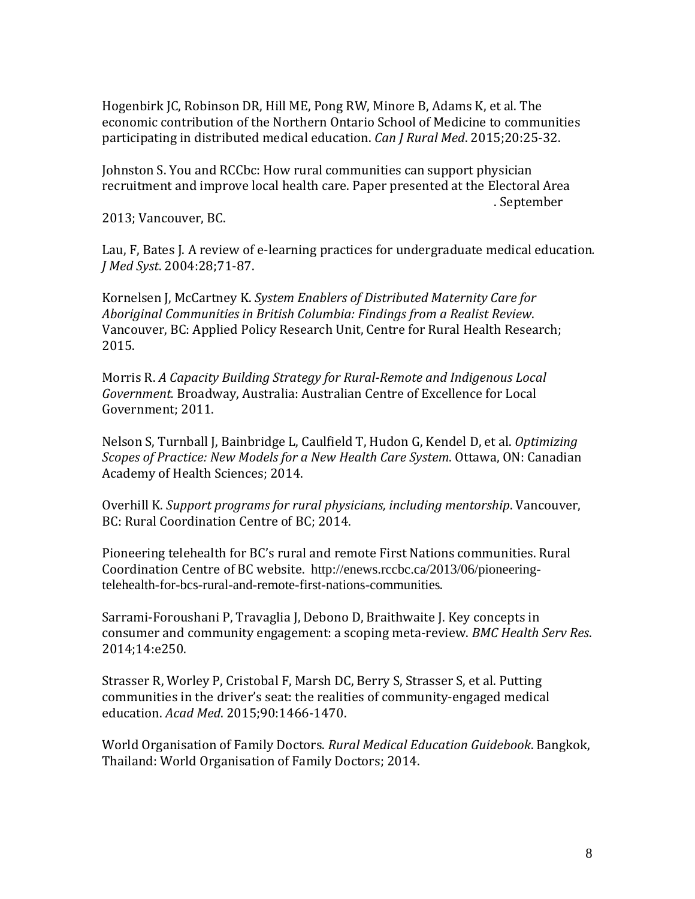participating in distributed medical education. *Can J Rural Med*. 2015;20:25-32. Hogenbirk JC, Robinson DR, Hill ME, Pong RW, Minore B, Adams K, et al. The economic contribution of the Northern Ontario School of Medicine to communities

Johnston S. You and RCCbc: How rural communities can support physician recruitment and improve local health care. Paper presented at the Electoral Area . September

2013; Vancouver, BC.

Lau, F, Bates J. A review of e-learning practices for undergraduate medical education.  *J Med Syst*. 2004:28;71‐87. 

 Kornelsen J, McCartney K. *System Enablers of Distributed Maternity Care for Aboriginal Communities in British Columbia: Findings from a Realist Review*. Vancouver, BC: Applied Policy Research Unit, Centre for Rural Health Research; 2015.

 Morris R. *A Capacity Building Strategy for Rural‐Remote and Indigenous Local* Government. Broadway, Australia: Australian Centre of Excellence for Local Government; 2011.

 *Scopes of Practice: New Models for a New Health Care System*. Ottawa, ON: Canadian Nelson S, Turnball J, Bainbridge L, Caulfield T, Hudon G, Kendel D, et al. *Optimizing* Academy of Health Sciences; 2014.

 Overhill K. *Support programs for rural physicians, including mentorship*. Vancouver, BC: Rural Coordination Centre of BC; 2014.

Coordination Centre of BC website. [http://enews.rccbc.ca/2013/06/pioneering-](http://enews.rccbc.ca/2013/06/pioneering)Pioneering telehealth for BC's rural and remote First Nations communities. Rural telehealth-for-bcs-rural-and-remote-first-nations-communities. 

 consumer and community engagement: a scoping meta‐review. *BMC Health Serv Res*. Sarrami-Foroushani P, Travaglia J, Debono D, Braithwaite J. Key concepts in 2014;14:e250.

Strasser R, Worley P, Cristobal F, Marsh DC, Berry S, Strasser S, et al. Putting communities in the driver's seat: the realities of community-engaged medical education. *Acad Med*. 2015;90:1466‐1470.

 World Organisation of Family Doctors. *Rural Medical Education Guidebook*. Bangkok, Thailand: World Organisation of Family Doctors; 2014.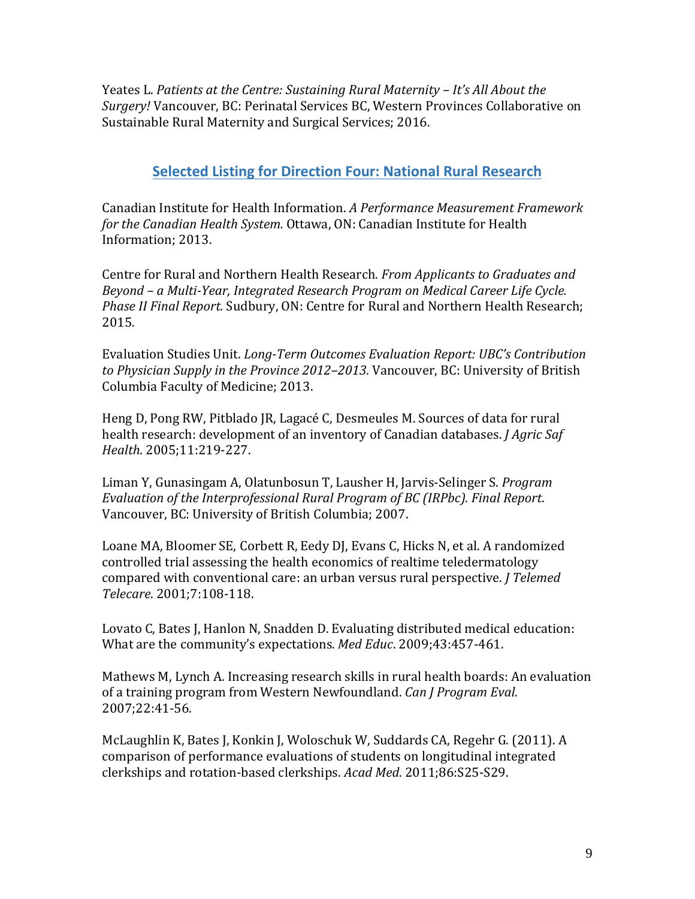Yeates L. *Patients at the Centre: Sustaining Rural Maternity – It's All About the Surgery!* Vancouver, BC: Perinatal Services BC, Western Provinces Collaborative on Sustainable Rural Maternity and Surgical Services; 2016.

### **Selected Listing for Direction Four: National Rural Research**

 Canadian Institute for Health Information. *A Performance Measurement Framework* for the Canadian Health System. Ottawa, ON: Canadian Institute for Health Information: 2013.

 Centre for Rural and Northern Health Research. *From Applicants to Graduates and Beyond – a Multi‐Year, Integrated Research Program on Medical Career Life Cycle. Phase II Final Report.* Sudbury, ON: Centre for Rural and Northern Health Research; 2015.

 Evaluation Studies Unit. *Long‐Term Outcomes Evaluation Report: UBC's Contribution to Physician Supply in the Province 2012–2013.* Vancouver, BC: University of British Columbia Faculty of Medicine; 2013.

 health research: development of an inventory of Canadian databases. *J Agric Saf* Heng D, Pong RW, Pitblado JR, Lagacé C, Desmeules M. Sources of data for rural *Health*. 2005;11:219‐227. 

 *Evaluation of the Interprofessional Rural Program of BC (IRPbc). Final Report*. Liman Y, Gunasingam A, Olatunbosun T, Lausher H, Jarvis‐Selinger S. *Program* Vancouver, BC: University of British Columbia; 2007.

compared with conventional care: an urban versus rural perspective. *J Telemed* Loane MA, Bloomer SE, Corbett R, Eedy DJ, Evans C, Hicks N, et al. A randomized controlled trial assessing the health economics of realtime teledermatology *Telecare*. 2001;7:108‐118.

Lovato C, Bates J, Hanlon N, Snadden D. Evaluating distributed medical education: What are the community's expectations. Med *Educ*. 2009;43:457-461.

 of a training program from Western Newfoundland. *Can J Program Eval*. Mathews M, Lynch A. Increasing research skills in rural health boards: An evaluation 2007;22:41‐56. 

McLaughlin K, Bates J, Konkin J, Woloschuk W, Suddards CA, Regehr G. (2011). A comparison of performance evaluations of students on longitudinal integrated clerkships and rotation-based clerkships. *Acad Med.* 2011;86:S25-S29.